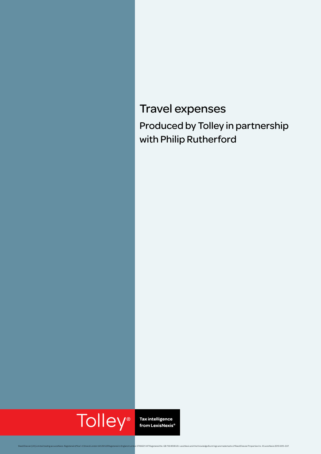## Travel expenses Produced by Tolley in partnership with Philip Rutherford

# **Tolley**<sup>®</sup>

Tax intelligence<br>from LexisNexis®

ledge Burst logo are trademarks of Reed Elsevier Properties Inc. © LexisNexis 2015 0315-037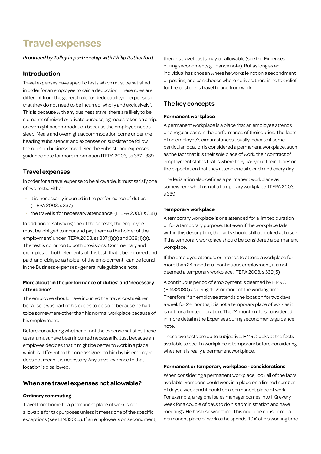### **Travel expenses**

#### *Produced by Tolley in partnership with Philip Rutherford*

#### **Introduction**

Travel expenses have specific tests which must be satisfied in order for an employee to gain a deduction. These rules are different from the general rule for deductibility of expenses in that they do not need to be incurred 'wholly and exclusively'. This is because with any business travel there are likely to be elements of mixed or private purpose, eg meals taken on a trip, or overnight accommodation because the employee needs sleep. Meals and overnight accommodation come under the heading 'subsistence' and expenses on subsistence follow the rules on business travel. See the Subsistence expenses guidance note for more information.ITEPA 2003, ss 337 - 339

#### **Travel expenses**

In order for a travel expense to be allowable, it must satisfy one of two tests. Either:

- > it is 'necessarily incurred in the performance of duties' (ITEPA 2003, s 337)
- > the travel is 'for necessary attendance' (ITEPA 2003, s 338)

In addition to satisfying one of these tests, the employee must be 'obliged to incur and pay them as the holder of the employment' under ITEPA 2003, ss 337(1)(a) and 338(1)(a). The test is common to both provisions. Commentary and examples on both elements of this test, that it be 'incurred and paid' and 'obliged as holder of the employment', can be found in the Business expenses - general rule guidance note.

#### **More about 'in the performance of duties' and 'necessary attendance'**

The employee should have incurred the travel costs either because it was part of his duties to do so or because he had to be somewhere other than his normal workplace because of his employment.

Before considering whether or not the expense satisfies these tests it must have been incurred necessarily. Just because an employee decides that it might be better to work in a place which is different to the one assigned to him by his employer does not mean it is necessary. Any travel expense to that location is disallowed.

#### **When are travel expenses not allowable?**

#### **Ordinary commuting**

Travel from home to a permanent place of work is not allowable for tax purposes unless it meets one of the specific exceptions (see EIM32055). If an employee is on secondment, then his travel costs may be allowable (see the Expenses during secondments guidance note). But as long as an individual has chosen where he works ie not on a secondment or posting, and can choose where he lives, there is no tax relief for the cost of his travel to and from work.

#### **The key concepts**

#### **Permanent workplace**

A permanent workplace is a place that an employee attends on a regular basis in the performance of their duties. The facts of an employee's circumstances usually indicate if some particular location is considered a permanent workplace, such as the fact that it is their sole place of work, their contract of employment states that is where they carry out their duties or the expectation that they attend one site each and every day.

The legislation also defines a permanent workplace as somewhere which is not a temporary workplace. ITEPA 2003, s 339

#### **Temporary workplace**

A temporary workplace is one attended for a limited duration or for a temporary purpose. But even if the workplace falls within this description, the facts should still be looked at to see if the temporary workplace should be considered a permanent workplace.

If the employee attends, or intends to attend a workplace for more than 24 months of continuous employment, it is not deemed a temporary workplace. ITEPA 2003, s 339(5)

A continuous period of employment is deemed by HMRC (EIM32080) as being 40% or more of the working time. Therefore if an employee attends one location for two days a week for 24 months, it is not a temporary place of work as it is not for a limited duration. The 24 month rule is considered in more detail in the Expenses during secondments guidance note.

These two tests are quite subjective. HMRC looks at the facts available to see if a workplace is temporary before considering whether it is really a permanent workplace.

#### **Permanent or temporary workplace - considerations**

When considering a permanent workplace, look all of the facts available. Someone could work in a place on a limited number of days a week and it could be a permanent place of work. For example, a regional sales manager comes into HQ every week for a couple of days to do his administration and have meetings. He has his own office. This could be considered a permanent place of work as he spends 40% of his working time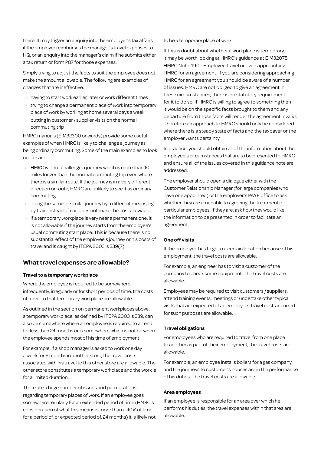there. It may trigger an enquiry into the employer's tax affairs if the employer reimburses the manager's travel expenses to HQ, or an enquiry into the manager's claim if he submits either a tax return or form P87 for those expenses.

Simply trying to adjust the facts to suit the employee does not make the amount allowable. The following are examples of changes that are ineffective:

- > having to start work earlier, later or work different times
- > trying to change a permanent place of work into temporary place of work by working at home several days a week
- putting in customer / supplier visits on the normal commuting trip

HMRC manuals (EIM32300 onwards) provide some useful examples of when HMRC is likely to challenge a journey as being ordinary commuting. Some of the main examples to look out for are:

- > HMRC will not challenge a journey which is more than 10 miles longer than the normal commuting trip even where there is a similar route. If the journey is in a very different direction or route, HMRC are unlikely to see it as ordinary commuting.
- doing the same or similar journey by a different means, eg by train instead of car, does not make the cost allowable
- if a temporary workplace is very near a permanent one, it is not allowable if the journey starts from the employee's usual commuting start place. This is because there is no substantial effect of the employee's journey or his costs of travel and is caught by ITEPA 2003, s 339(7).

#### **What travel expenses are allowable?**

#### **Travel to a temporary workplace**

Where the employee is required to be somewhere infrequently, irregularly or for short periods of time, the costs of travel to that temporary workplace are allowable.

As outlined in the section on permanent workplaces above, a temporary workplace, as defined by ITEPA 2003, s 339, can also be somewhere where an employee is required to attend for less than 24 months or is somewhere which is not be where the employee spends most of his time of employment.

For example, if a shop manager is asked to work one day a week for 6 months in another store, the travel costs associated with his travel to this other store are allowable. The other store constitutes a temporary workplace and the work is for a limited duration.

There are a huge number of issues and permutations regarding temporary places of work. If an employee goes somewhere regularly for an extended period of time (HMRC's consideration of what this means is more than a 40% of time for a period of, or expected period of, 24 months) it is likely not to be a temporary place of work.

If this is doubt about whether a workplace is temporary, it may be worth looking at HMRC's guidance at EIM32075, HMRC Note 490 - Employee travel or even approaching HMRC for an agreement. If you are considering approaching HMRC for an agreement you should be aware of a number of issues. HMRC are not obliged to give an agreement in these circumstances, there is no statutory requirement for it to do so. If HMRC is willing to agree to something then it would be on the specific facts brought to them and any departure from those facts will render the agreement invalid. Therefore an approach to HMRC should only be considered where there is a steady state of facts and the taxpayer or the employer wants certainty.

In practice, you should obtain all of the information about the employee's circumstances that are to be presented to HMRC and ensure all of the issues covered in this guidance note are addressed.

The employer should open a dialogue either with the Customer Relationship Manager (for large companies who have one appointed) or the employer's PAYE office to ask whether they are amenable to agreeing the treatment of particular employees. If they are, ask how they would like the information to be presented in order to facilitate an agreement.

#### **One off visits**

If the employee has to go to a certain location because of his employment, the travel costs are allowable.

For example, an engineer has to visit a customer of the company to check some equipment. The travel costs are allowable.

Employees may be required to visit customers / suppliers, attend training events, meetings or undertake other typical visits that are expected of an employee. Travel costs incurred for such purposes are allowable.

#### **Travel obligations**

For employees who are required to travel from one place to another as part of their employment, the travel costs are allowable.

For example, an employee installs boilers for a gas company and the journeys to customer's houses are in the performance of his duties. The travel costs are allowable.

#### **Area employees**

If an employee is responsible for an area over which he performs his duties, the travel expenses within that area are allowable.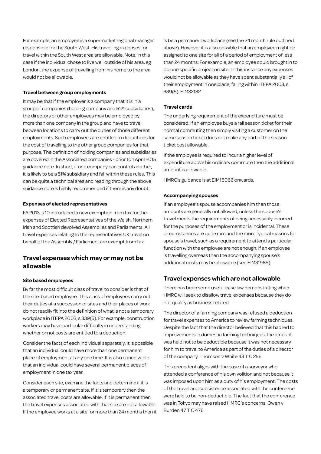For example, an employee is a supermarket regional manager responsible for the South West. His travelling expenses for travel within the South West area are allowable. Note, in this case if the individual chose to live well outside of his area, eg London, the expense of travelling from his home to the area would not be allowable.

#### **Travel between group employments**

It may be that if the employer is a company that it is in a group of companies (holding company and 51% subsidiaries), the directors or other employees may be employed by more than one company in the group and have to travel between locations to carry out the duties of those different employments. Such employees are entitled to deductions for the cost of travelling to the other group companies for that purpose. The definition of holding companies and subsidiaries are covered in the Associated companies - prior to 1 April 2015 guidance note. In short, if one company can control another, it is likely to be a 51% subsidiary and fall within these rules. This can be quite a technical area and reading through the above guidance note is highly recommended if there is any doubt.

#### **Expenses of elected representatives**

FA 2013, s 10 introduced a new exemption from tax for the expenses of Elected Representatives of the Welsh, Northern Irish and Scottish devolved Assemblies and Parliaments. All travel expenses relating to the representatives UK travel on behalf of the Assembly / Parliament are exempt from tax.

#### **Travel expenses which may or may not be allowable**

#### **Site based employees**

By far the most difficult class of travel to consider is that of the site-based employee. This class of employees carry out their duties at a succession of sites and their places of work do not readily fit into the definition of what is not a temporary workplace in ITEPA 2003, s 339(5). For example, construction workers may have particular difficulty in understanding whether or not costs are entitled to a deduction.

Consider the facts of each individual separately. It is possible that an individual could have more than one permanent place of employment at any one time. It is also conceivable that an individual could have several permanent places of employment in one tax year.

Consider each site, examine the facts and determine if it is a temporary or permanent site. If it is temporary then the associated travel costs are allowable. If it is permanent then the travel expenses associated with that site are not allowable. If the employee works at a site for more than 24 months then it is be a permanent workplace (see the 24 month rule outlined above). However it is also possible that an employee might be assigned to one site for all of a period of employment of less than 24 months. For example, an employee could brought in to do one specific project on site. In this instance any expenses would not be allowable as they have spent substantially all of their employment in one place, falling within ITEPA 2003, s 339(5). EIM32132

#### **Travel cards**

The underlying requirement of the expenditure must be considered. If an employee buys a rail season ticket for their normal commuting then simply visiting a customer on the same season ticket does not make any part of the season ticket cost allowable.

If the employee is required to incur a higher level of expenditure above his ordinary commute then the additional amount is allowable.

HMRC's guidance is at EIM16066 onwards.

#### **Accompanying spouses**

If an employee's spouse accompanies him then those amounts are generally not allowed, unless the spouse's travel meets the requirements of being necessarily incurred for the purposes of the employment or is incidental. These circumstances are quite rare and the more typical reasons for spouse's travel, such as a requirement to attend a particular function with the employee are not enough. If an employee is travelling overseas then the accompanying spouse's additional costs may be allowable (see EIM31985).

#### **Travel expenses which are not allowable**

There has been some useful case law demonstrating when HMRC will seek to disallow travel expenses because they do not qualify as business related.

The director of a farming company was refused a deduction for travel expenses to America to review farming techniques. Despite the fact that the director believed that this had led to improvements in domestic farming techniques, the amount was held not to be deductible because it was not necessary for him to travel to America as part of the duties of a director of the company. Thomson v White 43 T C 256

This precedent aligns with the case of a surveyor who attended a conference of his own volition and not because it was imposed upon him as a duty of his employment. The costs of the travel and subsistence associated with the conference were held to be non-deductible. The fact that the conference was in Tokyo may have raised HMRC's concerns. Owen v Burden 47 T C 476